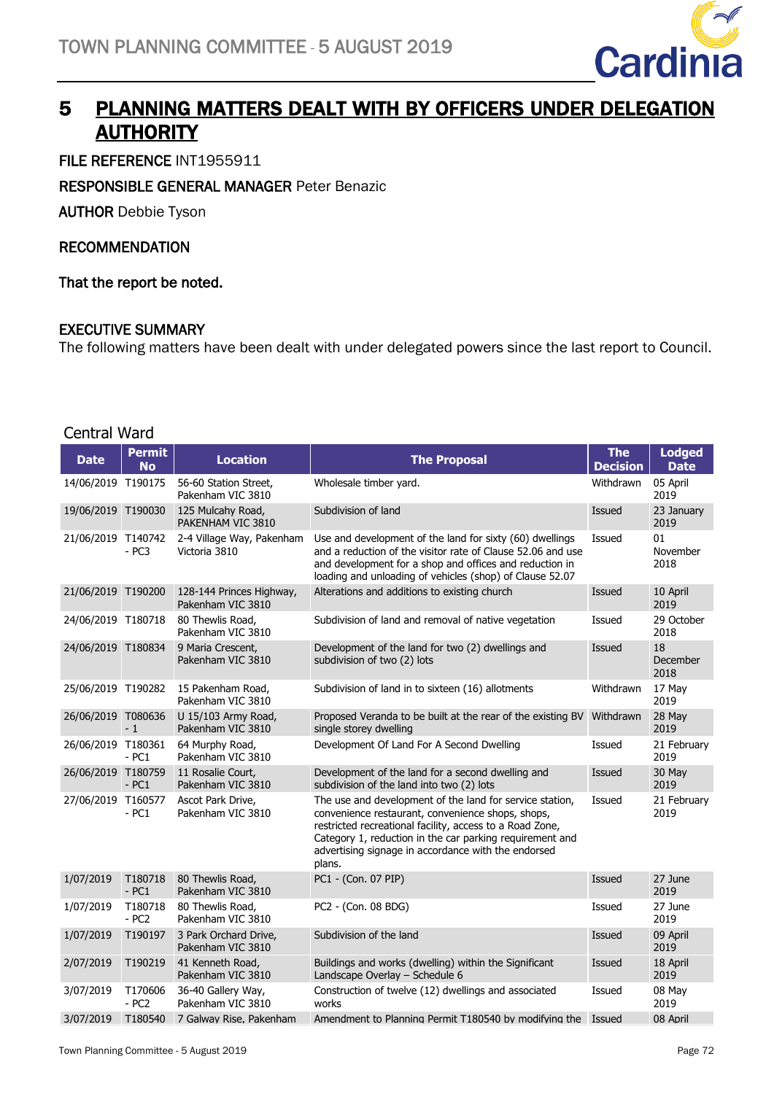

### 5 PLANNING MATTERS DEALT WITH BY OFFICERS UNDER DELEGATION **AUTHORITY**

FILE REFERENCE INT1955911

RESPONSIBLE GENERAL MANAGER Peter Benazic

AUTHOR Debbie Tyson

#### RECOMMENDATION

That the report be noted.

#### EXECUTIVE SUMMARY

The following matters have been dealt with under delegated powers since the last report to Council.

| Central Ward       |                              |                                               |                                                                                                                                                                                                                                                                                                        |                               |                              |
|--------------------|------------------------------|-----------------------------------------------|--------------------------------------------------------------------------------------------------------------------------------------------------------------------------------------------------------------------------------------------------------------------------------------------------------|-------------------------------|------------------------------|
| <b>Date</b>        | <b>Permit</b><br><b>No</b>   | <b>Location</b>                               | <b>The Proposal</b>                                                                                                                                                                                                                                                                                    | <b>The</b><br><b>Decision</b> | <b>Lodged</b><br><b>Date</b> |
| 14/06/2019 T190175 |                              | 56-60 Station Street,<br>Pakenham VIC 3810    | Wholesale timber yard.                                                                                                                                                                                                                                                                                 | Withdrawn                     | 05 April<br>2019             |
| 19/06/2019 T190030 |                              | 125 Mulcahy Road,<br>PAKENHAM VIC 3810        | Subdivision of land                                                                                                                                                                                                                                                                                    | Issued                        | 23 January<br>2019           |
| 21/06/2019 T140742 | $- PC3$                      | 2-4 Village Way, Pakenham<br>Victoria 3810    | Use and development of the land for sixty (60) dwellings<br>and a reduction of the visitor rate of Clause 52.06 and use<br>and development for a shop and offices and reduction in<br>loading and unloading of vehicles (shop) of Clause 52.07                                                         | <b>Issued</b>                 | 01<br>November<br>2018       |
| 21/06/2019 T190200 |                              | 128-144 Princes Highway,<br>Pakenham VIC 3810 | Alterations and additions to existing church                                                                                                                                                                                                                                                           | Issued                        | 10 April<br>2019             |
| 24/06/2019 T180718 |                              | 80 Thewlis Road,<br>Pakenham VIC 3810         | Subdivision of land and removal of native vegetation                                                                                                                                                                                                                                                   | Issued                        | 29 October<br>2018           |
| 24/06/2019 T180834 |                              | 9 Maria Crescent,<br>Pakenham VIC 3810        | Development of the land for two (2) dwellings and<br>subdivision of two (2) lots                                                                                                                                                                                                                       | <b>Issued</b>                 | 18<br>December<br>2018       |
| 25/06/2019 T190282 |                              | 15 Pakenham Road,<br>Pakenham VIC 3810        | Subdivision of land in to sixteen (16) allotments                                                                                                                                                                                                                                                      | Withdrawn                     | 17 May<br>2019               |
| 26/06/2019 T080636 | $-1$                         | U 15/103 Army Road,<br>Pakenham VIC 3810      | Proposed Veranda to be built at the rear of the existing BV<br>single storey dwelling                                                                                                                                                                                                                  | Withdrawn                     | 28 May<br>2019               |
| 26/06/2019 T180361 | $-PC1$                       | 64 Murphy Road,<br>Pakenham VIC 3810          | Development Of Land For A Second Dwelling                                                                                                                                                                                                                                                              | Issued                        | 21 February<br>2019          |
| 26/06/2019 T180759 | $-PC1$                       | 11 Rosalie Court,<br>Pakenham VIC 3810        | Development of the land for a second dwelling and<br>subdivision of the land into two (2) lots                                                                                                                                                                                                         | Issued                        | 30 May<br>2019               |
| 27/06/2019 T160577 | - PC1                        | Ascot Park Drive,<br>Pakenham VIC 3810        | The use and development of the land for service station,<br>convenience restaurant, convenience shops, shops,<br>restricted recreational facility, access to a Road Zone,<br>Category 1, reduction in the car parking requirement and<br>advertising signage in accordance with the endorsed<br>plans. | Issued                        | 21 February<br>2019          |
| 1/07/2019          | T180718<br>$- PC1$           | 80 Thewlis Road,<br>Pakenham VIC 3810         | PC1 - (Con. 07 PIP)                                                                                                                                                                                                                                                                                    | Issued                        | 27 June<br>2019              |
| 1/07/2019          | T180718<br>$- PC2$           | 80 Thewlis Road,<br>Pakenham VIC 3810         | PC2 - (Con. 08 BDG)                                                                                                                                                                                                                                                                                    | Issued                        | 27 June<br>2019              |
| 1/07/2019          | T190197                      | 3 Park Orchard Drive,<br>Pakenham VIC 3810    | Subdivision of the land                                                                                                                                                                                                                                                                                | Issued                        | 09 April<br>2019             |
| 2/07/2019          | T190219                      | 41 Kenneth Road,<br>Pakenham VIC 3810         | Buildings and works (dwelling) within the Significant<br>Landscape Overlay - Schedule 6                                                                                                                                                                                                                | Issued                        | 18 April<br>2019             |
| 3/07/2019          | T170606<br>- PC <sub>2</sub> | 36-40 Gallery Way,<br>Pakenham VIC 3810       | Construction of twelve (12) dwellings and associated<br>works                                                                                                                                                                                                                                          | Issued                        | 08 May<br>2019               |
| 3/07/2019          | T180540                      | 7 Galway Rise, Pakenham                       | Amendment to Planning Permit T180540 by modifying the Issued                                                                                                                                                                                                                                           |                               | 08 April                     |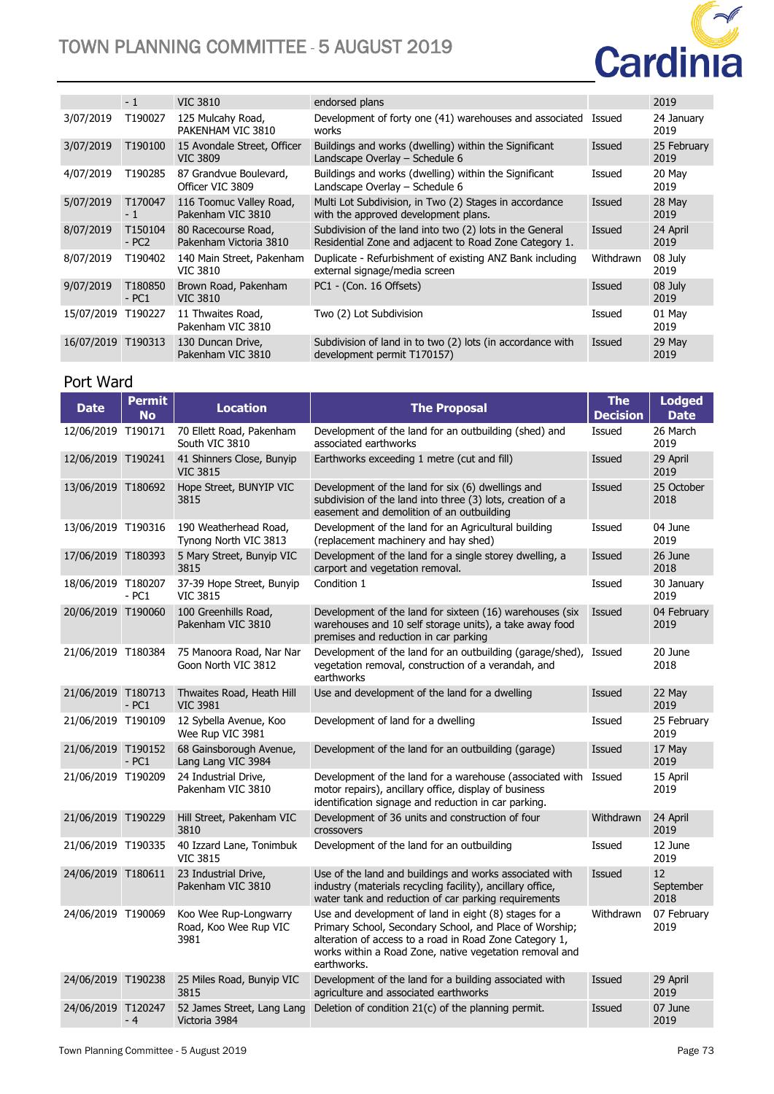# TOWN PLANNING COMMITTEE - 5 AUGUST 2019



|            | $-1$               | <b>VIC 3810</b>                                | endorsed plans                                                                                                     |           | 2019                |
|------------|--------------------|------------------------------------------------|--------------------------------------------------------------------------------------------------------------------|-----------|---------------------|
| 3/07/2019  | T190027            | 125 Mulcahy Road,<br>PAKENHAM VIC 3810         | Development of forty one (41) warehouses and associated<br>works                                                   | Issued    | 24 January<br>2019  |
| 3/07/2019  | T190100            | 15 Avondale Street, Officer<br><b>VIC 3809</b> | Buildings and works (dwelling) within the Significant<br>Landscape Overlay – Schedule 6                            | Issued    | 25 February<br>2019 |
| 4/07/2019  | T190285            | 87 Grandvue Boulevard,<br>Officer VIC 3809     | Buildings and works (dwelling) within the Significant<br>Landscape Overlay - Schedule 6                            | Issued    | 20 May<br>2019      |
| 5/07/2019  | T170047<br>$-1$    | 116 Toomuc Valley Road,<br>Pakenham VIC 3810   | Multi Lot Subdivision, in Two (2) Stages in accordance<br>with the approved development plans.                     | Issued    | 28 May<br>2019      |
| 8/07/2019  | T150104<br>$- PC2$ | 80 Racecourse Road,<br>Pakenham Victoria 3810  | Subdivision of the land into two (2) lots in the General<br>Residential Zone and adjacent to Road Zone Category 1. | Issued    | 24 April<br>2019    |
| 8/07/2019  | T190402            | 140 Main Street, Pakenham<br><b>VIC 3810</b>   | Duplicate - Refurbishment of existing ANZ Bank including<br>external signage/media screen                          | Withdrawn | 08 July<br>2019     |
| 9/07/2019  | T180850<br>$-PC1$  | Brown Road, Pakenham<br><b>VIC 3810</b>        | PC1 - (Con. 16 Offsets)                                                                                            | Issued    | 08 July<br>2019     |
| 15/07/2019 | T190227            | 11 Thwaites Road,<br>Pakenham VIC 3810         | Two (2) Lot Subdivision                                                                                            | Issued    | 01 May<br>2019      |
| 16/07/2019 | T190313            | 130 Duncan Drive,<br>Pakenham VIC 3810         | Subdivision of land in to two (2) lots (in accordance with<br>development permit T170157)                          | Issued    | 29 May<br>2019      |

#### Port Ward

| <b>Date</b>        | <b>Permit</b><br><b>No</b> | <b>Location</b>                                        | <b>The Proposal</b>                                                                                                                                                                                                                                   | <b>The</b><br><b>Decision</b> | <b>Lodged</b><br><b>Date</b> |
|--------------------|----------------------------|--------------------------------------------------------|-------------------------------------------------------------------------------------------------------------------------------------------------------------------------------------------------------------------------------------------------------|-------------------------------|------------------------------|
| 12/06/2019 T190171 |                            | 70 Ellett Road, Pakenham<br>South VIC 3810             | Development of the land for an outbuilding (shed) and<br>associated earthworks                                                                                                                                                                        | Issued                        | 26 March<br>2019             |
| 12/06/2019 T190241 |                            | 41 Shinners Close, Bunyip<br><b>VIC 3815</b>           | Earthworks exceeding 1 metre (cut and fill)                                                                                                                                                                                                           | Issued                        | 29 April<br>2019             |
| 13/06/2019 T180692 |                            | Hope Street, BUNYIP VIC<br>3815                        | Development of the land for six (6) dwellings and<br>subdivision of the land into three (3) lots, creation of a<br>easement and demolition of an outbuilding                                                                                          | Issued                        | 25 October<br>2018           |
| 13/06/2019 T190316 |                            | 190 Weatherhead Road,<br>Tynong North VIC 3813         | Development of the land for an Agricultural building<br>(replacement machinery and hay shed)                                                                                                                                                          | Issued                        | 04 June<br>2019              |
| 17/06/2019 T180393 |                            | 5 Mary Street, Bunyip VIC<br>3815                      | Development of the land for a single storey dwelling, a<br>carport and vegetation removal.                                                                                                                                                            | Issued                        | 26 June<br>2018              |
| 18/06/2019 T180207 | $-PC1$                     | 37-39 Hope Street, Bunyip<br><b>VIC 3815</b>           | Condition 1                                                                                                                                                                                                                                           | Issued                        | 30 January<br>2019           |
| 20/06/2019 T190060 |                            | 100 Greenhills Road,<br>Pakenham VIC 3810              | Development of the land for sixteen (16) warehouses (six<br>warehouses and 10 self storage units), a take away food<br>premises and reduction in car parking                                                                                          | Issued                        | 04 February<br>2019          |
| 21/06/2019 T180384 |                            | 75 Manoora Road, Nar Nar<br>Goon North VIC 3812        | Development of the land for an outbuilding (garage/shed), Issued<br>vegetation removal, construction of a verandah, and<br>earthworks                                                                                                                 |                               | 20 June<br>2018              |
| 21/06/2019 T180713 | $-PC1$                     | Thwaites Road, Heath Hill<br><b>VIC 3981</b>           | Use and development of the land for a dwelling                                                                                                                                                                                                        | Issued                        | 22 May<br>2019               |
| 21/06/2019 T190109 |                            | 12 Sybella Avenue, Koo<br>Wee Rup VIC 3981             | Development of land for a dwelling                                                                                                                                                                                                                    | Issued                        | 25 February<br>2019          |
| 21/06/2019 T190152 | $-PC1$                     | 68 Gainsborough Avenue,<br>Lang Lang VIC 3984          | Development of the land for an outbuilding (garage)                                                                                                                                                                                                   | Issued                        | 17 May<br>2019               |
| 21/06/2019 T190209 |                            | 24 Industrial Drive,<br>Pakenham VIC 3810              | Development of the land for a warehouse (associated with Issued<br>motor repairs), ancillary office, display of business<br>identification signage and reduction in car parking.                                                                      |                               | 15 April<br>2019             |
| 21/06/2019 T190229 |                            | Hill Street, Pakenham VIC<br>3810                      | Development of 36 units and construction of four<br>crossovers                                                                                                                                                                                        | Withdrawn                     | 24 April<br>2019             |
| 21/06/2019 T190335 |                            | 40 Izzard Lane, Tonimbuk<br><b>VIC 3815</b>            | Development of the land for an outbuilding                                                                                                                                                                                                            | Issued                        | 12 June<br>2019              |
| 24/06/2019 T180611 |                            | 23 Industrial Drive,<br>Pakenham VIC 3810              | Use of the land and buildings and works associated with<br>industry (materials recycling facility), ancillary office,<br>water tank and reduction of car parking requirements                                                                         | Issued                        | 12<br>September<br>2018      |
| 24/06/2019 T190069 |                            | Koo Wee Rup-Longwarry<br>Road, Koo Wee Rup VIC<br>3981 | Use and development of land in eight (8) stages for a<br>Primary School, Secondary School, and Place of Worship;<br>alteration of access to a road in Road Zone Category 1,<br>works within a Road Zone, native vegetation removal and<br>earthworks. | Withdrawn                     | 07 February<br>2019          |
| 24/06/2019 T190238 |                            | 25 Miles Road, Bunyip VIC<br>3815                      | Development of the land for a building associated with<br>agriculture and associated earthworks                                                                                                                                                       | Issued                        | 29 April<br>2019             |
| 24/06/2019 T120247 | - 4                        | 52 James Street, Lang Lang<br>Victoria 3984            | Deletion of condition 21(c) of the planning permit.                                                                                                                                                                                                   | Issued                        | 07 June<br>2019              |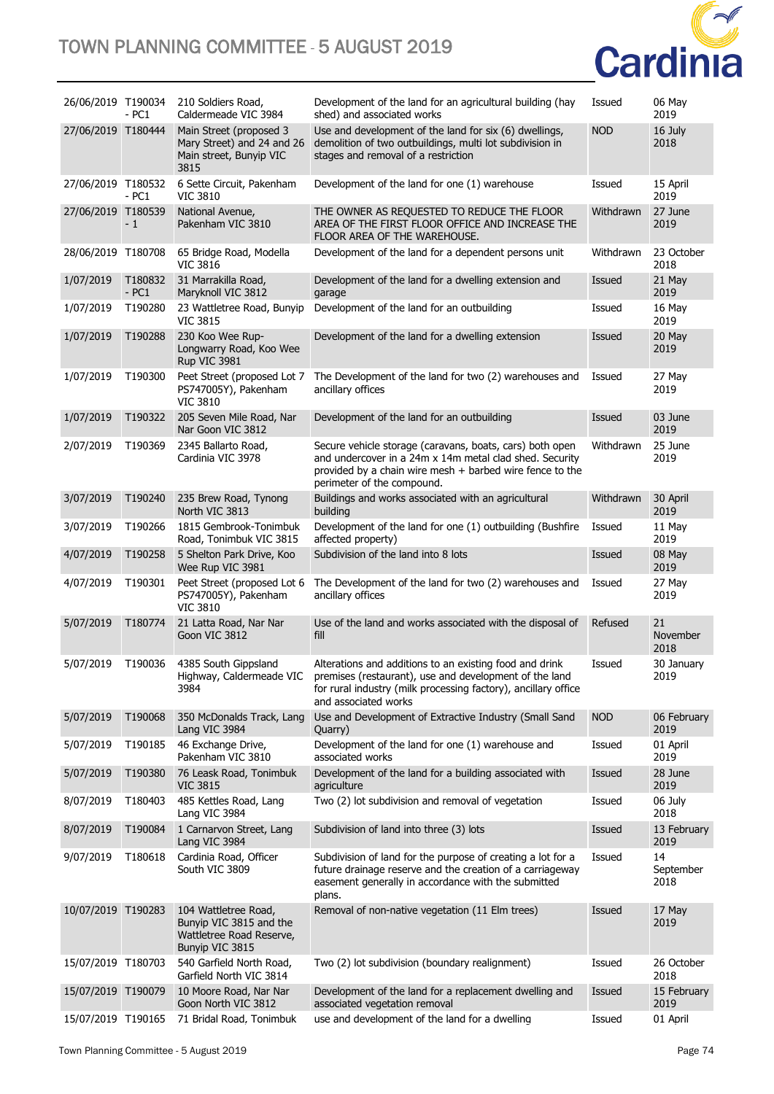### TOWN PLANNING COMMITTEE - 5 AUGUST 2019



| 26/06/2019 T190034 | - PC1             | 210 Soldiers Road,<br>Caldermeade VIC 3984                                                     | Development of the land for an agricultural building (hay<br>shed) and associated works                                                                                                                                              | Issued     | 06 May<br>2019          |
|--------------------|-------------------|------------------------------------------------------------------------------------------------|--------------------------------------------------------------------------------------------------------------------------------------------------------------------------------------------------------------------------------------|------------|-------------------------|
| 27/06/2019 T180444 |                   | Main Street (proposed 3<br>Mary Street) and 24 and 26<br>Main street, Bunyip VIC<br>3815       | Use and development of the land for six (6) dwellings,<br>demolition of two outbuildings, multi lot subdivision in<br>stages and removal of a restriction                                                                            | <b>NOD</b> | 16 July<br>2018         |
| 27/06/2019 T180532 | - PC1             | 6 Sette Circuit, Pakenham<br><b>VIC 3810</b>                                                   | Development of the land for one (1) warehouse                                                                                                                                                                                        | Issued     | 15 April<br>2019        |
| 27/06/2019 T180539 | - 1               | National Avenue,<br>Pakenham VIC 3810                                                          | THE OWNER AS REQUESTED TO REDUCE THE FLOOR<br>AREA OF THE FIRST FLOOR OFFICE AND INCREASE THE<br>FLOOR AREA OF THE WAREHOUSE.                                                                                                        | Withdrawn  | 27 June<br>2019         |
| 28/06/2019         | T180708           | 65 Bridge Road, Modella<br><b>VIC 3816</b>                                                     | Development of the land for a dependent persons unit                                                                                                                                                                                 | Withdrawn  | 23 October<br>2018      |
| 1/07/2019          | T180832<br>$-PC1$ | 31 Marrakilla Road,<br>Maryknoll VIC 3812                                                      | Development of the land for a dwelling extension and<br>garage                                                                                                                                                                       | Issued     | 21 May<br>2019          |
| 1/07/2019          | T190280           | 23 Wattletree Road, Bunyip<br><b>VIC 3815</b>                                                  | Development of the land for an outbuilding                                                                                                                                                                                           | Issued     | 16 May<br>2019          |
| 1/07/2019          | T190288           | 230 Koo Wee Rup-<br>Longwarry Road, Koo Wee<br>Rup VIC 3981                                    | Development of the land for a dwelling extension                                                                                                                                                                                     | Issued     | 20 May<br>2019          |
| 1/07/2019          | T190300           | Peet Street (proposed Lot 7<br>PS747005Y), Pakenham<br><b>VIC 3810</b>                         | The Development of the land for two (2) warehouses and<br>ancillary offices                                                                                                                                                          | Issued     | 27 May<br>2019          |
| 1/07/2019          | T190322           | 205 Seven Mile Road, Nar<br>Nar Goon VIC 3812                                                  | Development of the land for an outbuilding                                                                                                                                                                                           | Issued     | 03 June<br>2019         |
| 2/07/2019          | T190369           | 2345 Ballarto Road,<br>Cardinia VIC 3978                                                       | Secure vehicle storage (caravans, boats, cars) both open<br>and undercover in a 24m x 14m metal clad shed. Security<br>provided by a chain wire mesh $+$ barbed wire fence to the<br>perimeter of the compound.                      | Withdrawn  | 25 June<br>2019         |
| 3/07/2019          | T190240           | 235 Brew Road, Tynong<br>North VIC 3813                                                        | Buildings and works associated with an agricultural<br>building                                                                                                                                                                      | Withdrawn  | 30 April<br>2019        |
| 3/07/2019          | T190266           | 1815 Gembrook-Tonimbuk<br>Road, Tonimbuk VIC 3815                                              | Development of the land for one (1) outbuilding (Bushfire<br>affected property)                                                                                                                                                      | Issued     | 11 May<br>2019          |
| 4/07/2019          | T190258           | 5 Shelton Park Drive, Koo<br>Wee Rup VIC 3981                                                  | Subdivision of the land into 8 lots                                                                                                                                                                                                  | Issued     | 08 May<br>2019          |
| 4/07/2019          | T190301           | Peet Street (proposed Lot 6<br>PS747005Y), Pakenham<br><b>VIC 3810</b>                         | The Development of the land for two (2) warehouses and<br>ancillary offices                                                                                                                                                          | Issued     | 27 May<br>2019          |
| 5/07/2019          | T180774           | 21 Latta Road, Nar Nar<br>Goon VIC 3812                                                        | Use of the land and works associated with the disposal of<br>fill                                                                                                                                                                    | Refused    | 21<br>November<br>2018  |
| 5/07/2019          | T190036           | 4385 South Gippsland<br>3984                                                                   | Alterations and additions to an existing food and drink<br>Highway, Caldermeade VIC premises (restaurant), use and development of the land<br>for rural industry (milk processing factory), ancillary office<br>and associated works | Issued     | 30 January<br>2019      |
| 5/07/2019          | T190068           | 350 McDonalds Track, Lang<br>Lang VIC 3984                                                     | Use and Development of Extractive Industry (Small Sand<br>Quarry)                                                                                                                                                                    | <b>NOD</b> | 06 February<br>2019     |
| 5/07/2019          | T190185           | 46 Exchange Drive,<br>Pakenham VIC 3810                                                        | Development of the land for one (1) warehouse and<br>associated works                                                                                                                                                                | Issued     | 01 April<br>2019        |
| 5/07/2019          | T190380           | 76 Leask Road, Tonimbuk<br><b>VIC 3815</b>                                                     | Development of the land for a building associated with<br>agriculture                                                                                                                                                                | Issued     | 28 June<br>2019         |
| 8/07/2019          | T180403           | 485 Kettles Road, Lang<br>Lang VIC 3984                                                        | Two (2) lot subdivision and removal of vegetation                                                                                                                                                                                    | Issued     | 06 July<br>2018         |
| 8/07/2019          | T190084           | 1 Carnarvon Street, Lang<br>Lang VIC 3984                                                      | Subdivision of land into three (3) lots                                                                                                                                                                                              | Issued     | 13 February<br>2019     |
| 9/07/2019          | T180618           | Cardinia Road, Officer<br>South VIC 3809                                                       | Subdivision of land for the purpose of creating a lot for a<br>future drainage reserve and the creation of a carriageway<br>easement generally in accordance with the submitted<br>plans.                                            | Issued     | 14<br>September<br>2018 |
| 10/07/2019 T190283 |                   | 104 Wattletree Road,<br>Bunyip VIC 3815 and the<br>Wattletree Road Reserve,<br>Bunyip VIC 3815 | Removal of non-native vegetation (11 Elm trees)                                                                                                                                                                                      | Issued     | 17 May<br>2019          |
| 15/07/2019 T180703 |                   | 540 Garfield North Road,<br>Garfield North VIC 3814                                            | Two (2) lot subdivision (boundary realignment)                                                                                                                                                                                       | Issued     | 26 October<br>2018      |
| 15/07/2019 T190079 |                   | 10 Moore Road, Nar Nar<br>Goon North VIC 3812                                                  | Development of the land for a replacement dwelling and<br>associated vegetation removal                                                                                                                                              | Issued     | 15 February<br>2019     |
|                    |                   | 15/07/2019 T190165 71 Bridal Road, Tonimbuk                                                    | use and development of the land for a dwelling                                                                                                                                                                                       | Issued     | 01 April                |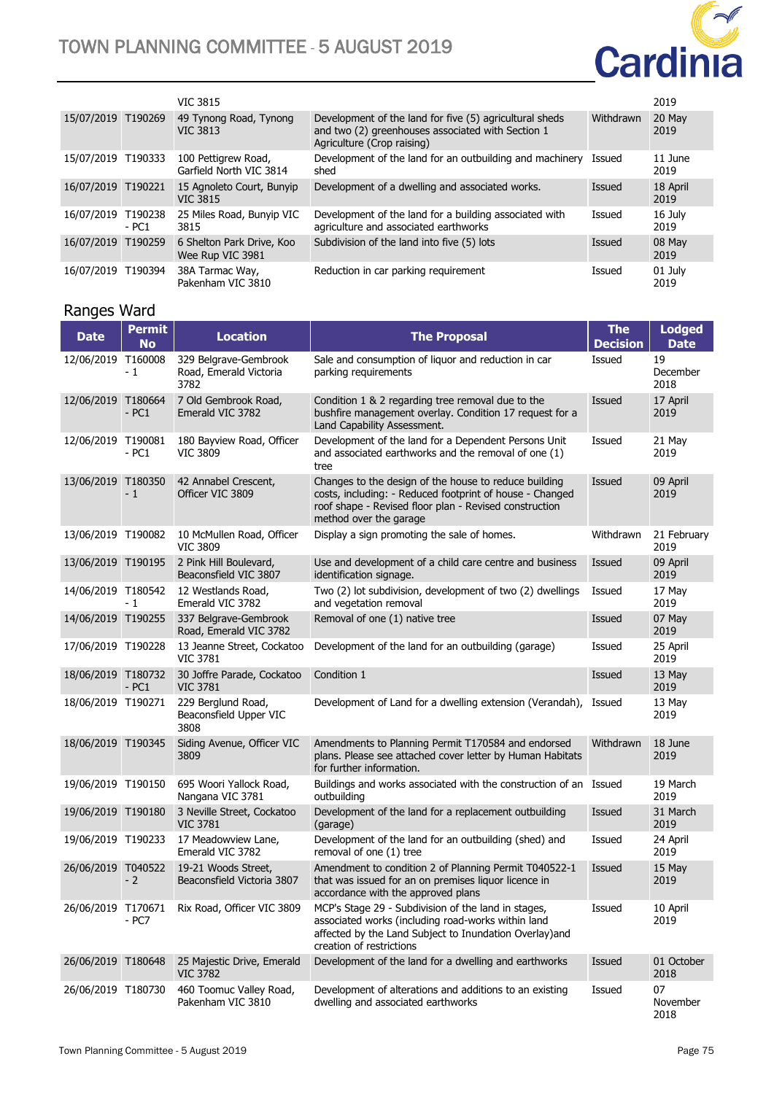

|                    |                   | <b>VIC 3815</b>                                |                                                                                                                                            |           | 2019             |
|--------------------|-------------------|------------------------------------------------|--------------------------------------------------------------------------------------------------------------------------------------------|-----------|------------------|
| 15/07/2019 T190269 |                   | 49 Tynong Road, Tynong<br><b>VIC 3813</b>      | Development of the land for five (5) agricultural sheds<br>and two (2) greenhouses associated with Section 1<br>Agriculture (Crop raising) | Withdrawn | 20 May<br>2019   |
| 15/07/2019 T190333 |                   | 100 Pettigrew Road,<br>Garfield North VIC 3814 | Development of the land for an outbuilding and machinery<br>shed                                                                           | Issued    | 11 June<br>2019  |
| 16/07/2019 T190221 |                   | 15 Agnoleto Court, Bunyip<br><b>VIC 3815</b>   | Development of a dwelling and associated works.                                                                                            | Issued    | 18 April<br>2019 |
| 16/07/2019         | T190238<br>$-PC1$ | 25 Miles Road, Bunyip VIC<br>3815              | Development of the land for a building associated with<br>agriculture and associated earthworks                                            | Issued    | 16 July<br>2019  |
| 16/07/2019         | T190259           | 6 Shelton Park Drive, Koo<br>Wee Rup VIC 3981  | Subdivision of the land into five (5) lots                                                                                                 | Issued    | 08 May<br>2019   |
| 16/07/2019         | T190394           | 38A Tarmac Way,<br>Pakenham VIC 3810           | Reduction in car parking requirement                                                                                                       | Issued    | 01 July<br>2019  |

### Ranges Ward

| <b>Date</b>        | <b>Permit</b><br><b>No</b> | <b>Location</b>                                         | <b>The Proposal</b>                                                                                                                                                                                   | <b>The</b><br><b>Decision</b> | <b>Lodged</b><br><b>Date</b> |
|--------------------|----------------------------|---------------------------------------------------------|-------------------------------------------------------------------------------------------------------------------------------------------------------------------------------------------------------|-------------------------------|------------------------------|
| 12/06/2019 T160008 | - 1                        | 329 Belgrave-Gembrook<br>Road, Emerald Victoria<br>3782 | Sale and consumption of liquor and reduction in car<br>parking requirements                                                                                                                           | Issued                        | 19<br>December<br>2018       |
| 12/06/2019         | T180664<br>$-PC1$          | 7 Old Gembrook Road,<br>Emerald VIC 3782                | Condition 1 & 2 regarding tree removal due to the<br>bushfire management overlay. Condition 17 request for a<br>Land Capability Assessment.                                                           | Issued                        | 17 April<br>2019             |
| 12/06/2019 T190081 | $-PC1$                     | 180 Bayview Road, Officer<br><b>VIC 3809</b>            | Development of the land for a Dependent Persons Unit<br>and associated earthworks and the removal of one (1)<br>tree                                                                                  | Issued                        | 21 May<br>2019               |
| 13/06/2019 T180350 | - 1                        | 42 Annabel Crescent,<br>Officer VIC 3809                | Changes to the design of the house to reduce building<br>costs, including: - Reduced footprint of house - Changed<br>roof shape - Revised floor plan - Revised construction<br>method over the garage | Issued                        | 09 April<br>2019             |
| 13/06/2019 T190082 |                            | 10 McMullen Road, Officer<br><b>VIC 3809</b>            | Display a sign promoting the sale of homes.                                                                                                                                                           | Withdrawn                     | 21 February<br>2019          |
| 13/06/2019 T190195 |                            | 2 Pink Hill Boulevard,<br>Beaconsfield VIC 3807         | Use and development of a child care centre and business<br>identification signage.                                                                                                                    | Issued                        | 09 April<br>2019             |
| 14/06/2019 T180542 | - 1                        | 12 Westlands Road,<br>Emerald VIC 3782                  | Two (2) lot subdivision, development of two (2) dwellings<br>and vegetation removal                                                                                                                   | Issued                        | 17 May<br>2019               |
| 14/06/2019 T190255 |                            | 337 Belgrave-Gembrook<br>Road, Emerald VIC 3782         | Removal of one (1) native tree                                                                                                                                                                        | Issued                        | 07 May<br>2019               |
| 17/06/2019 T190228 |                            | 13 Jeanne Street, Cockatoo<br><b>VIC 3781</b>           | Development of the land for an outbuilding (garage)                                                                                                                                                   | Issued                        | 25 April<br>2019             |
| 18/06/2019 T180732 | $-PC1$                     | 30 Joffre Parade, Cockatoo<br><b>VIC 3781</b>           | Condition 1                                                                                                                                                                                           | Issued                        | 13 May<br>2019               |
| 18/06/2019 T190271 |                            | 229 Berglund Road,<br>Beaconsfield Upper VIC<br>3808    | Development of Land for a dwelling extension (Verandah), Issued                                                                                                                                       |                               | 13 May<br>2019               |
| 18/06/2019 T190345 |                            | Siding Avenue, Officer VIC<br>3809                      | Amendments to Planning Permit T170584 and endorsed<br>plans. Please see attached cover letter by Human Habitats<br>for further information.                                                           | Withdrawn                     | 18 June<br>2019              |
| 19/06/2019 T190150 |                            | 695 Woori Yallock Road,<br>Nangana VIC 3781             | Buildings and works associated with the construction of an Issued<br>outbuilding                                                                                                                      |                               | 19 March<br>2019             |
| 19/06/2019 T190180 |                            | 3 Neville Street, Cockatoo<br><b>VIC 3781</b>           | Development of the land for a replacement outbuilding<br>(garage)                                                                                                                                     | Issued                        | 31 March<br>2019             |
| 19/06/2019 T190233 |                            | 17 Meadowview Lane,<br>Emerald VIC 3782                 | Development of the land for an outbuilding (shed) and<br>removal of one (1) tree                                                                                                                      | Issued                        | 24 April<br>2019             |
| 26/06/2019         | T040522<br>- 2             | 19-21 Woods Street,<br>Beaconsfield Victoria 3807       | Amendment to condition 2 of Planning Permit T040522-1<br>that was issued for an on premises liquor licence in<br>accordance with the approved plans                                                   | Issued                        | 15 May<br>2019               |
| 26/06/2019 T170671 | - PC7                      | Rix Road, Officer VIC 3809                              | MCP's Stage 29 - Subdivision of the land in stages,<br>associated works (including road-works within land<br>affected by the Land Subject to Inundation Overlay) and<br>creation of restrictions      | Issued                        | 10 April<br>2019             |
| 26/06/2019         | T180648                    | 25 Majestic Drive, Emerald<br><b>VIC 3782</b>           | Development of the land for a dwelling and earthworks                                                                                                                                                 | Issued                        | 01 October<br>2018           |
| 26/06/2019 T180730 |                            | 460 Toomuc Valley Road,<br>Pakenham VIC 3810            | Development of alterations and additions to an existing<br>dwelling and associated earthworks                                                                                                         | Issued                        | 07<br>November<br>2018       |